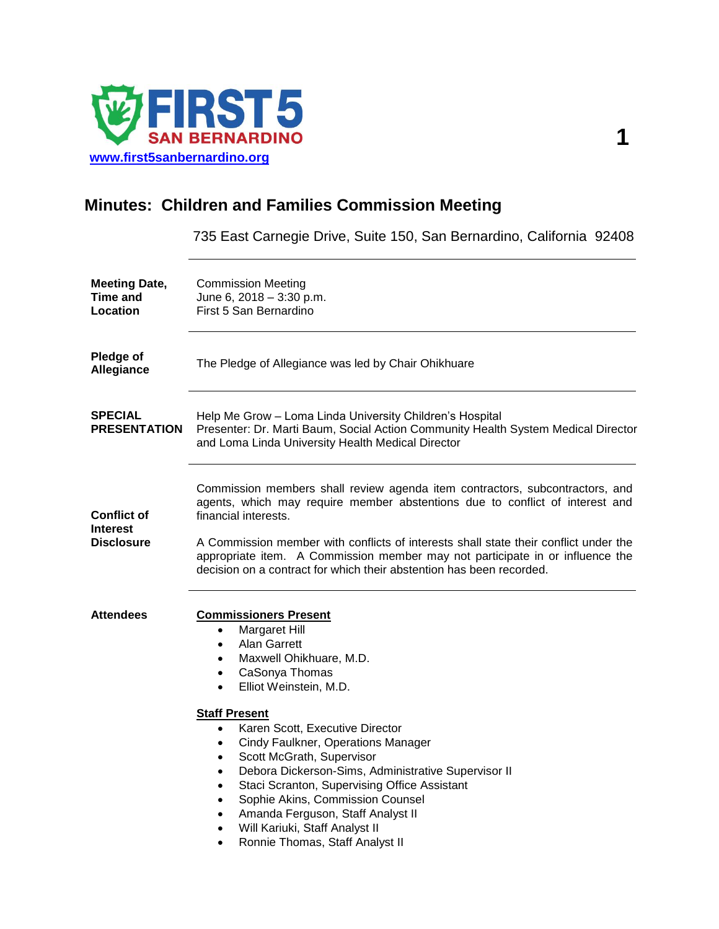

## **Minutes: Children and Families Commission Meeting**

735 East Carnegie Drive, Suite 150, San Bernardino, California 92408

| <b>Meeting Date,</b><br>Time and<br>Location               | <b>Commission Meeting</b><br>June 6, 2018 - 3:30 p.m.<br>First 5 San Bernardino                                                                                                                                                                                                                                                                                                                                                                                                                                                                                                                                                                                               |
|------------------------------------------------------------|-------------------------------------------------------------------------------------------------------------------------------------------------------------------------------------------------------------------------------------------------------------------------------------------------------------------------------------------------------------------------------------------------------------------------------------------------------------------------------------------------------------------------------------------------------------------------------------------------------------------------------------------------------------------------------|
| <b>Pledge of</b><br>Allegiance                             | The Pledge of Allegiance was led by Chair Ohikhuare                                                                                                                                                                                                                                                                                                                                                                                                                                                                                                                                                                                                                           |
| <b>SPECIAL</b><br><b>PRESENTATION</b>                      | Help Me Grow - Loma Linda University Children's Hospital<br>Presenter: Dr. Marti Baum, Social Action Community Health System Medical Director<br>and Loma Linda University Health Medical Director                                                                                                                                                                                                                                                                                                                                                                                                                                                                            |
| <b>Conflict of</b><br><b>Interest</b><br><b>Disclosure</b> | Commission members shall review agenda item contractors, subcontractors, and<br>agents, which may require member abstentions due to conflict of interest and<br>financial interests.<br>A Commission member with conflicts of interests shall state their conflict under the<br>appropriate item. A Commission member may not participate in or influence the<br>decision on a contract for which their abstention has been recorded.                                                                                                                                                                                                                                         |
| <b>Attendees</b>                                           | <b>Commissioners Present</b><br><b>Margaret Hill</b><br>$\bullet$<br>Alan Garrett<br>$\bullet$<br>Maxwell Ohikhuare, M.D.<br>$\bullet$<br>CaSonya Thomas<br>$\bullet$<br>Elliot Weinstein, M.D.<br>$\bullet$<br><b>Staff Present</b><br>Karen Scott, Executive Director<br>$\bullet$<br>Cindy Faulkner, Operations Manager<br>$\bullet$<br>Scott McGrath, Supervisor<br>$\bullet$<br>Debora Dickerson-Sims, Administrative Supervisor II<br>$\bullet$<br>Staci Scranton, Supervising Office Assistant<br>Sophie Akins, Commission Counsel<br>Amanda Ferguson, Staff Analyst II<br>$\bullet$<br>Will Kariuki, Staff Analyst II<br>$\bullet$<br>Ronnie Thomas, Staff Analyst II |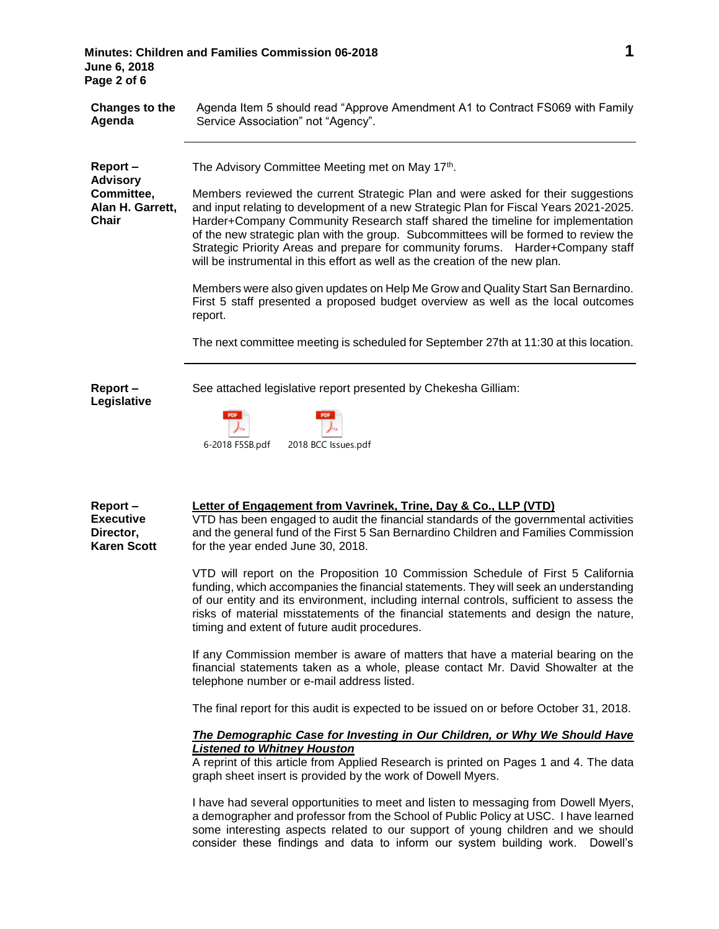| June 6, 2018<br>Page 2 of 6                                                  | 1<br>Minutes: Children and Families Commission 06-2018                                                                                                                                                                                                                                                                                                                                                                                                                                                                                                                                                                                                                                                                                                                                                                                                                                                                                                                                                                                                                                                                                                                                                                                                                                                                                                                                                                                                                                                                                                                                                                                          |
|------------------------------------------------------------------------------|-------------------------------------------------------------------------------------------------------------------------------------------------------------------------------------------------------------------------------------------------------------------------------------------------------------------------------------------------------------------------------------------------------------------------------------------------------------------------------------------------------------------------------------------------------------------------------------------------------------------------------------------------------------------------------------------------------------------------------------------------------------------------------------------------------------------------------------------------------------------------------------------------------------------------------------------------------------------------------------------------------------------------------------------------------------------------------------------------------------------------------------------------------------------------------------------------------------------------------------------------------------------------------------------------------------------------------------------------------------------------------------------------------------------------------------------------------------------------------------------------------------------------------------------------------------------------------------------------------------------------------------------------|
| Changes to the<br>Agenda                                                     | Agenda Item 5 should read "Approve Amendment A1 to Contract FS069 with Family<br>Service Association" not "Agency".                                                                                                                                                                                                                                                                                                                                                                                                                                                                                                                                                                                                                                                                                                                                                                                                                                                                                                                                                                                                                                                                                                                                                                                                                                                                                                                                                                                                                                                                                                                             |
| Report-<br><b>Advisory</b><br>Committee,<br>Alan H. Garrett,<br><b>Chair</b> | The Advisory Committee Meeting met on May 17th.<br>Members reviewed the current Strategic Plan and were asked for their suggestions<br>and input relating to development of a new Strategic Plan for Fiscal Years 2021-2025.<br>Harder+Company Community Research staff shared the timeline for implementation<br>of the new strategic plan with the group. Subcommittees will be formed to review the<br>Strategic Priority Areas and prepare for community forums.  Harder+Company staff<br>will be instrumental in this effort as well as the creation of the new plan.<br>Members were also given updates on Help Me Grow and Quality Start San Bernardino.<br>First 5 staff presented a proposed budget overview as well as the local outcomes<br>report.<br>The next committee meeting is scheduled for September 27th at 11:30 at this location.                                                                                                                                                                                                                                                                                                                                                                                                                                                                                                                                                                                                                                                                                                                                                                                         |
| Report-<br>Legislative                                                       | See attached legislative report presented by Chekesha Gilliam:<br>2018 BCC Issues.pdf<br>6-2018 F5SB.pdf                                                                                                                                                                                                                                                                                                                                                                                                                                                                                                                                                                                                                                                                                                                                                                                                                                                                                                                                                                                                                                                                                                                                                                                                                                                                                                                                                                                                                                                                                                                                        |
| Report-<br><b>Executive</b><br>Director,<br><b>Karen Scott</b>               | Letter of Engagement from Vavrinek, Trine, Day & Co., LLP (VTD)<br>VTD has been engaged to audit the financial standards of the governmental activities<br>and the general fund of the First 5 San Bernardino Children and Families Commission<br>for the year ended June 30, 2018.<br>VTD will report on the Proposition 10 Commission Schedule of First 5 California<br>funding, which accompanies the financial statements. They will seek an understanding<br>of our entity and its environment, including internal controls, sufficient to assess the<br>risks of material misstatements of the financial statements and design the nature,<br>timing and extent of future audit procedures.<br>If any Commission member is aware of matters that have a material bearing on the<br>financial statements taken as a whole, please contact Mr. David Showalter at the<br>telephone number or e-mail address listed.<br>The final report for this audit is expected to be issued on or before October 31, 2018.<br>The Demographic Case for Investing in Our Children, or Why We Should Have<br><b>Listened to Whitney Houston</b><br>A reprint of this article from Applied Research is printed on Pages 1 and 4. The data<br>graph sheet insert is provided by the work of Dowell Myers.<br>I have had several opportunities to meet and listen to messaging from Dowell Myers,<br>a demographer and professor from the School of Public Policy at USC. I have learned<br>some interesting aspects related to our support of young children and we should<br>consider these findings and data to inform our system building work. Dowell's |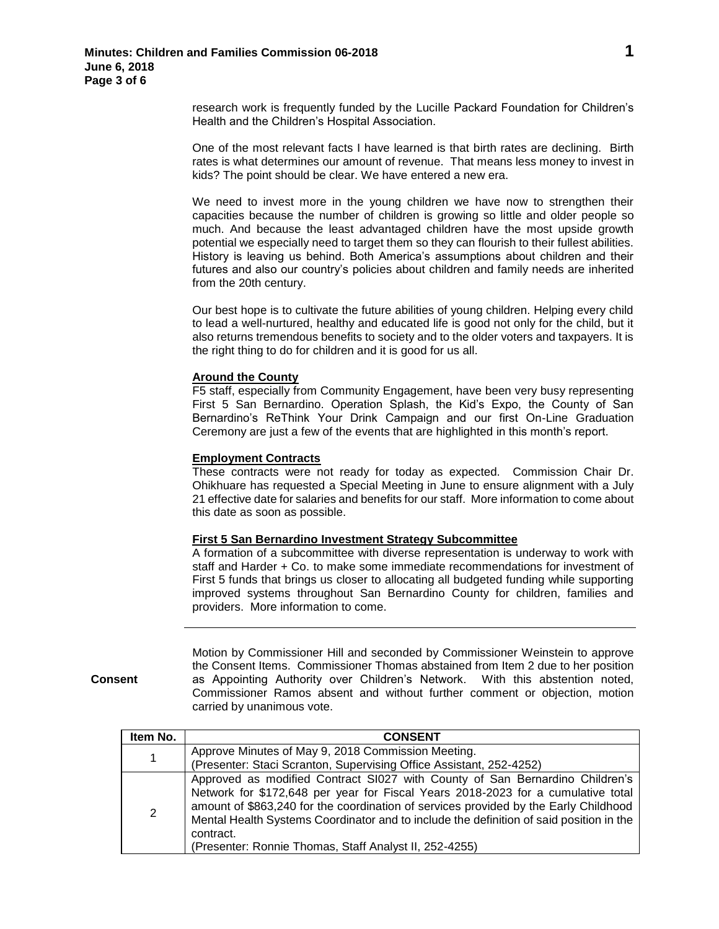research work is frequently funded by the Lucille Packard Foundation for Children's Health and the Children's Hospital Association.

One of the most relevant facts I have learned is that birth rates are declining. Birth rates is what determines our amount of revenue. That means less money to invest in kids? The point should be clear. We have entered a new era.

We need to invest more in the young children we have now to strengthen their capacities because the number of children is growing so little and older people so much. And because the least advantaged children have the most upside growth potential we especially need to target them so they can flourish to their fullest abilities. History is leaving us behind. Both America's assumptions about children and their futures and also our country's policies about children and family needs are inherited from the 20th century.

Our best hope is to cultivate the future abilities of young children. Helping every child to lead a well-nurtured, healthy and educated life is good not only for the child, but it also returns tremendous benefits to society and to the older voters and taxpayers. It is the right thing to do for children and it is good for us all.

## **Around the County**

F5 staff, especially from Community Engagement, have been very busy representing First 5 San Bernardino. Operation Splash, the Kid's Expo, the County of San Bernardino's ReThink Your Drink Campaign and our first On-Line Graduation Ceremony are just a few of the events that are highlighted in this month's report.

## **Employment Contracts**

These contracts were not ready for today as expected. Commission Chair Dr. Ohikhuare has requested a Special Meeting in June to ensure alignment with a July 21 effective date for salaries and benefits for our staff. More information to come about this date as soon as possible.

## **First 5 San Bernardino Investment Strategy Subcommittee**

A formation of a subcommittee with diverse representation is underway to work with staff and Harder + Co. to make some immediate recommendations for investment of First 5 funds that brings us closer to allocating all budgeted funding while supporting improved systems throughout San Bernardino County for children, families and providers. More information to come.

**Consent**

Motion by Commissioner Hill and seconded by Commissioner Weinstein to approve the Consent Items. Commissioner Thomas abstained from Item 2 due to her position as Appointing Authority over Children's Network. With this abstention noted, Commissioner Ramos absent and without further comment or objection, motion carried by unanimous vote.

| Item No. | <b>CONSENT</b>                                                                                                                                                                                                                                                                                                                                                                                                             |
|----------|----------------------------------------------------------------------------------------------------------------------------------------------------------------------------------------------------------------------------------------------------------------------------------------------------------------------------------------------------------------------------------------------------------------------------|
| 1        | Approve Minutes of May 9, 2018 Commission Meeting.<br>(Presenter: Staci Scranton, Supervising Office Assistant, 252-4252)                                                                                                                                                                                                                                                                                                  |
| 2        | Approved as modified Contract SI027 with County of San Bernardino Children's<br>Network for \$172,648 per year for Fiscal Years 2018-2023 for a cumulative total<br>amount of \$863,240 for the coordination of services provided by the Early Childhood<br>Mental Health Systems Coordinator and to include the definition of said position in the<br>contract.<br>(Presenter: Ronnie Thomas, Staff Analyst II, 252-4255) |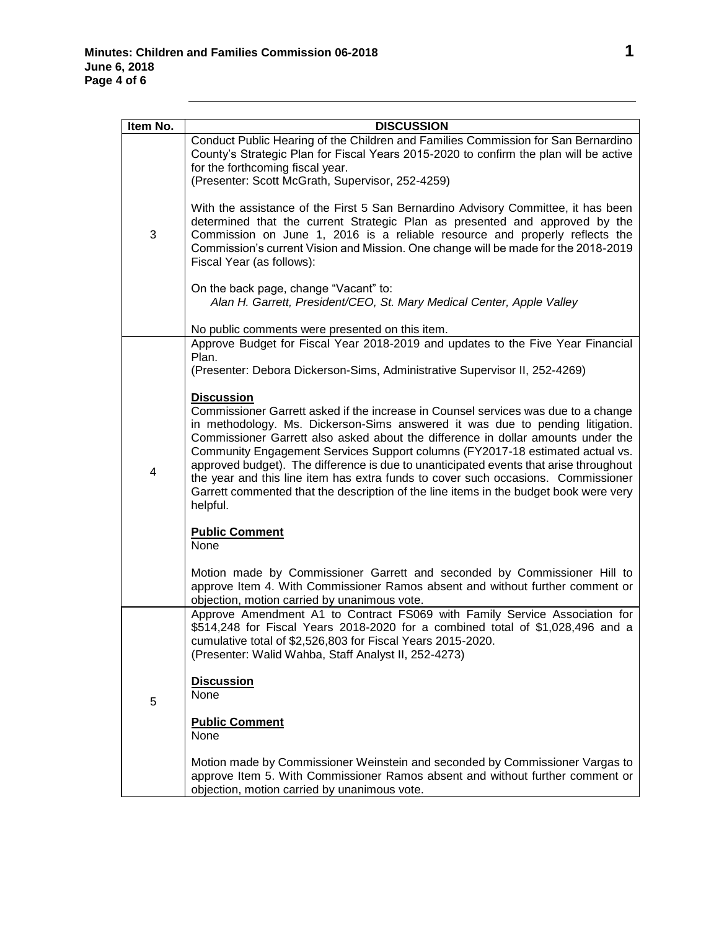| Item No. | <b>DISCUSSION</b>                                                                                                                                                                                                                                                                                                                                                                                                                                                                                                                                                                                                                                |
|----------|--------------------------------------------------------------------------------------------------------------------------------------------------------------------------------------------------------------------------------------------------------------------------------------------------------------------------------------------------------------------------------------------------------------------------------------------------------------------------------------------------------------------------------------------------------------------------------------------------------------------------------------------------|
| 3        | Conduct Public Hearing of the Children and Families Commission for San Bernardino<br>County's Strategic Plan for Fiscal Years 2015-2020 to confirm the plan will be active<br>for the forthcoming fiscal year.<br>(Presenter: Scott McGrath, Supervisor, 252-4259)                                                                                                                                                                                                                                                                                                                                                                               |
|          | With the assistance of the First 5 San Bernardino Advisory Committee, it has been<br>determined that the current Strategic Plan as presented and approved by the<br>Commission on June 1, 2016 is a reliable resource and properly reflects the<br>Commission's current Vision and Mission. One change will be made for the 2018-2019<br>Fiscal Year (as follows):                                                                                                                                                                                                                                                                               |
|          | On the back page, change "Vacant" to:<br>Alan H. Garrett, President/CEO, St. Mary Medical Center, Apple Valley                                                                                                                                                                                                                                                                                                                                                                                                                                                                                                                                   |
|          | No public comments were presented on this item.                                                                                                                                                                                                                                                                                                                                                                                                                                                                                                                                                                                                  |
| 4        | Approve Budget for Fiscal Year 2018-2019 and updates to the Five Year Financial<br>Plan.                                                                                                                                                                                                                                                                                                                                                                                                                                                                                                                                                         |
|          | (Presenter: Debora Dickerson-Sims, Administrative Supervisor II, 252-4269)                                                                                                                                                                                                                                                                                                                                                                                                                                                                                                                                                                       |
|          | <b>Discussion</b><br>Commissioner Garrett asked if the increase in Counsel services was due to a change<br>in methodology. Ms. Dickerson-Sims answered it was due to pending litigation.<br>Commissioner Garrett also asked about the difference in dollar amounts under the<br>Community Engagement Services Support columns (FY2017-18 estimated actual vs.<br>approved budget). The difference is due to unanticipated events that arise throughout<br>the year and this line item has extra funds to cover such occasions. Commissioner<br>Garrett commented that the description of the line items in the budget book were very<br>helpful. |
|          | <b>Public Comment</b><br>None                                                                                                                                                                                                                                                                                                                                                                                                                                                                                                                                                                                                                    |
|          | Motion made by Commissioner Garrett and seconded by Commissioner Hill to<br>approve Item 4. With Commissioner Ramos absent and without further comment or<br>objection, motion carried by unanimous vote.                                                                                                                                                                                                                                                                                                                                                                                                                                        |
| 5        | Approve Amendment A1 to Contract FS069 with Family Service Association for<br>\$514,248 for Fiscal Years 2018-2020 for a combined total of \$1,028,496 and a<br>cumulative total of \$2,526,803 for Fiscal Years 2015-2020.<br>(Presenter: Walid Wahba, Staff Analyst II, 252-4273)                                                                                                                                                                                                                                                                                                                                                              |
|          | <b>Discussion</b><br>None                                                                                                                                                                                                                                                                                                                                                                                                                                                                                                                                                                                                                        |
|          | <b>Public Comment</b><br>None                                                                                                                                                                                                                                                                                                                                                                                                                                                                                                                                                                                                                    |
|          | Motion made by Commissioner Weinstein and seconded by Commissioner Vargas to<br>approve Item 5. With Commissioner Ramos absent and without further comment or<br>objection, motion carried by unanimous vote.                                                                                                                                                                                                                                                                                                                                                                                                                                    |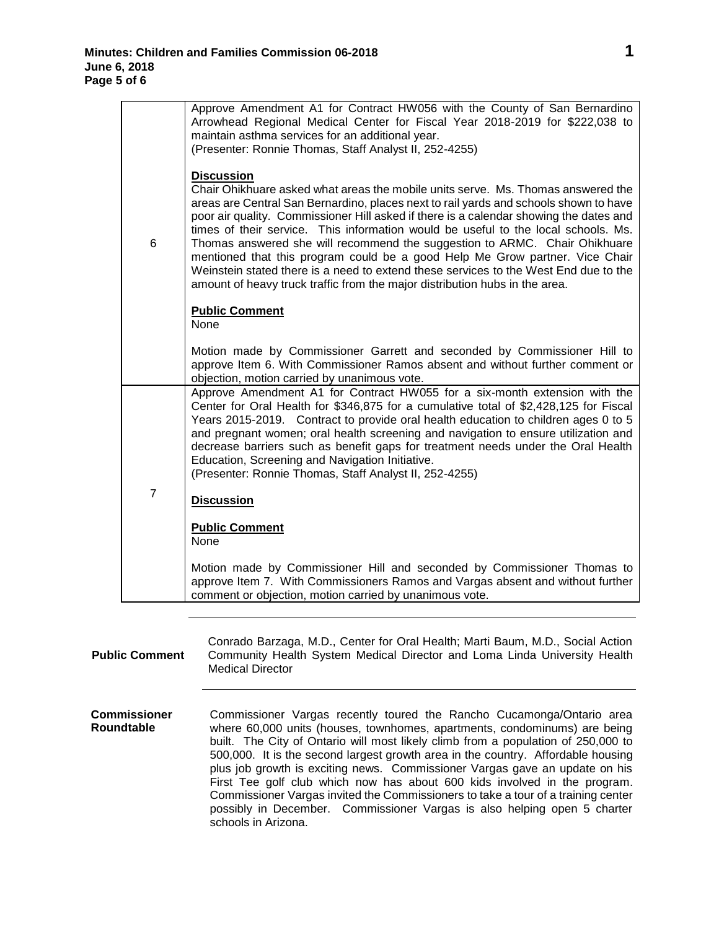|                | Approve Amendment A1 for Contract HW056 with the County of San Bernardino<br>Arrowhead Regional Medical Center for Fiscal Year 2018-2019 for \$222,038 to<br>maintain asthma services for an additional year.<br>(Presenter: Ronnie Thomas, Staff Analyst II, 252-4255)                                                                                                                                                                                                                                                                                                                                                                                                                                             |
|----------------|---------------------------------------------------------------------------------------------------------------------------------------------------------------------------------------------------------------------------------------------------------------------------------------------------------------------------------------------------------------------------------------------------------------------------------------------------------------------------------------------------------------------------------------------------------------------------------------------------------------------------------------------------------------------------------------------------------------------|
| 6              | <b>Discussion</b><br>Chair Ohikhuare asked what areas the mobile units serve. Ms. Thomas answered the<br>areas are Central San Bernardino, places next to rail yards and schools shown to have<br>poor air quality. Commissioner Hill asked if there is a calendar showing the dates and<br>times of their service. This information would be useful to the local schools. Ms.<br>Thomas answered she will recommend the suggestion to ARMC. Chair Ohikhuare<br>mentioned that this program could be a good Help Me Grow partner. Vice Chair<br>Weinstein stated there is a need to extend these services to the West End due to the<br>amount of heavy truck traffic from the major distribution hubs in the area. |
|                | <b>Public Comment</b><br><b>None</b>                                                                                                                                                                                                                                                                                                                                                                                                                                                                                                                                                                                                                                                                                |
|                | Motion made by Commissioner Garrett and seconded by Commissioner Hill to<br>approve Item 6. With Commissioner Ramos absent and without further comment or<br>objection, motion carried by unanimous vote.                                                                                                                                                                                                                                                                                                                                                                                                                                                                                                           |
|                | Approve Amendment A1 for Contract HW055 for a six-month extension with the<br>Center for Oral Health for \$346,875 for a cumulative total of \$2,428,125 for Fiscal<br>Years 2015-2019. Contract to provide oral health education to children ages 0 to 5<br>and pregnant women; oral health screening and navigation to ensure utilization and<br>decrease barriers such as benefit gaps for treatment needs under the Oral Health<br>Education, Screening and Navigation Initiative.<br>(Presenter: Ronnie Thomas, Staff Analyst II, 252-4255)                                                                                                                                                                    |
| $\overline{7}$ | <b>Discussion</b>                                                                                                                                                                                                                                                                                                                                                                                                                                                                                                                                                                                                                                                                                                   |
|                | <b>Public Comment</b><br>None                                                                                                                                                                                                                                                                                                                                                                                                                                                                                                                                                                                                                                                                                       |
|                | Motion made by Commissioner Hill and seconded by Commissioner Thomas to<br>approve Item 7. With Commissioners Ramos and Vargas absent and without further<br>comment or objection, motion carried by unanimous vote.                                                                                                                                                                                                                                                                                                                                                                                                                                                                                                |

| <b>Public Comment</b>      | Conrado Barzaga, M.D., Center for Oral Health; Marti Baum, M.D., Social Action<br>Community Health System Medical Director and Loma Linda University Health<br><b>Medical Director</b>                                                                                                                                                                                                                                                                                                                                                                                                                                                                                          |
|----------------------------|---------------------------------------------------------------------------------------------------------------------------------------------------------------------------------------------------------------------------------------------------------------------------------------------------------------------------------------------------------------------------------------------------------------------------------------------------------------------------------------------------------------------------------------------------------------------------------------------------------------------------------------------------------------------------------|
| Commissioner<br>Roundtable | Commissioner Vargas recently toured the Rancho Cucamonga/Ontario area<br>where 60,000 units (houses, townhomes, apartments, condominums) are being<br>built. The City of Ontario will most likely climb from a population of 250,000 to<br>500,000. It is the second largest growth area in the country. Affordable housing<br>plus job growth is exciting news. Commissioner Vargas gave an update on his<br>First Tee golf club which now has about 600 kids involved in the program.<br>Commissioner Vargas invited the Commissioners to take a tour of a training center<br>possibly in December. Commissioner Vargas is also helping open 5 charter<br>schools in Arizona. |